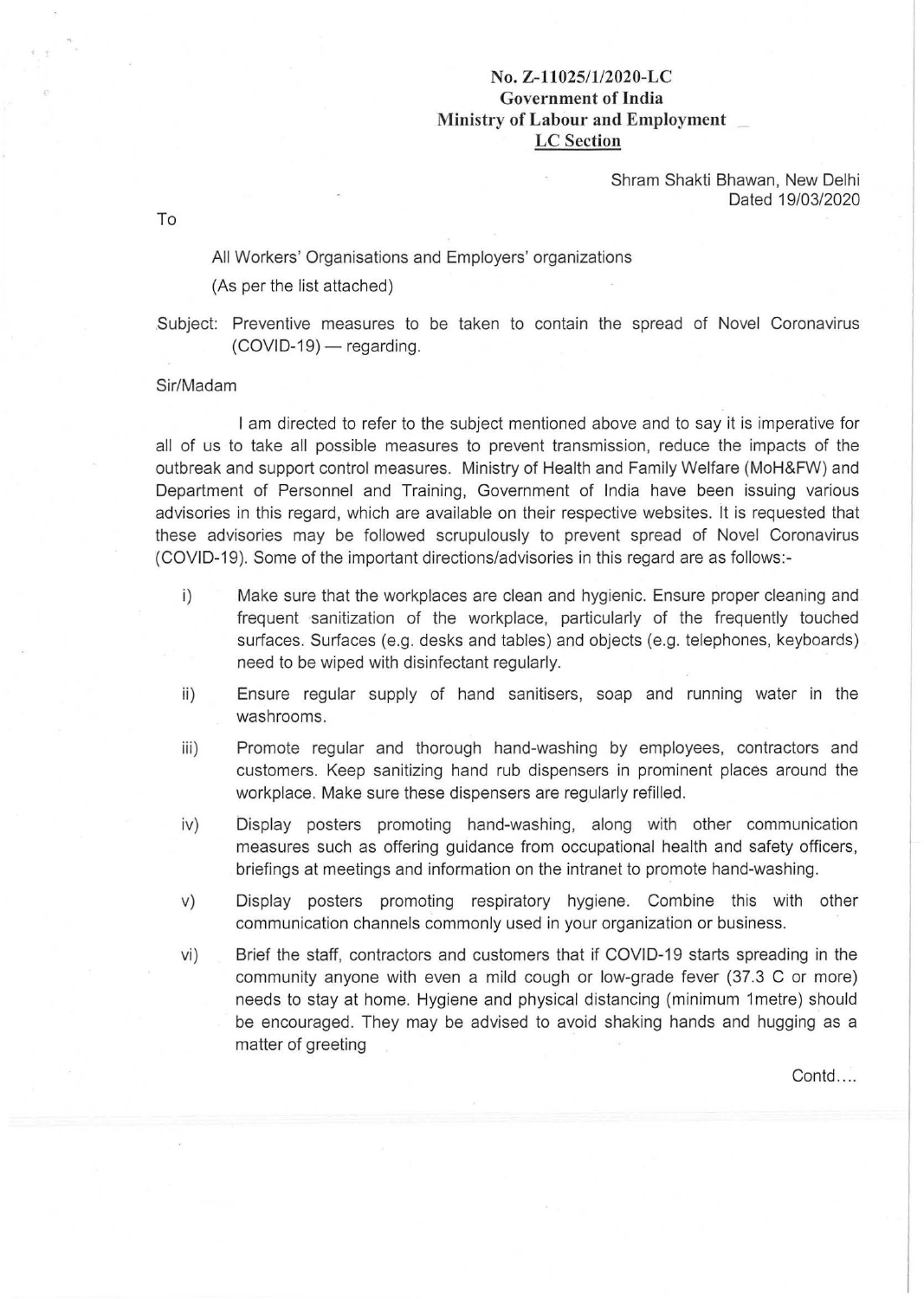## No. **Z-11025/1/2020-LC Government of India .Ministry of Labour and Employment LC Section**

Shram Shakti Bhawan, New Delhi Dated 19/03/2020

To

All Workers' Organisations and Employers' organizations

(As per the list attached)

.Subject: Preventive measures to be taken to contain the spread of Novel Coronavirus  $(COVID-19)$  - regarding.

## Sir/Madam

I am directed to refer to the subject mentioned above and to say it is imperative for all of us to take all possible measures to prevent transmission, reduce the impacts of the outbreak and support control measures. Ministry of Health and Family Welfare (MoH&FW) and Department of Personnel and Training, Government of India have been issuing various advisories in this regard, which are available on their respective websites. It is requested that these advisories may be followed scrupulously to prevent spread of Novel Coronavirus (COVID-19). Some of the important directions/advisories in this regard are as follows:-

- i) Make sure that the workplaces are clean and hygienic. Ensure proper cleaning and frequent sanitization of the workplace, particularly of the frequently touched surfaces. Surfaces (e.g. desks and tables) and objects (e.g. telephones, keyboards) need to be wiped with disinfectant regularly.
- ii) Ensure regular supply of hand sanitisers, soap and running water in the washrooms.
- iii) Promote regular and thorough hand-washing by employees, contractors and customers. Keep sanitizing hand rub dispensers in prominent places around the workplace. Make sure these dispensers are regularly refilled.
- iv) Display posters promoting hand-washing, along with other communication measures such as offering guidance from occupational health and safety officers, briefings at meetings and information on the intranet to promote hand-washing.
- v) Display posters promoting respiratory hygiene. Combine this with other communication channels commonly used in your organization or business.
- vi) Brief the staff, contractors and customers that if COVID-19 starts spreading in the community anyone with even a mild cough or low-grade fever (37.3 C or more) needs to stay at home. Hygiene and physical distancing (minimum 1metre) should be encouraged. They may be advised to avoid shaking hands and hugging as a matter of greeting

Contd....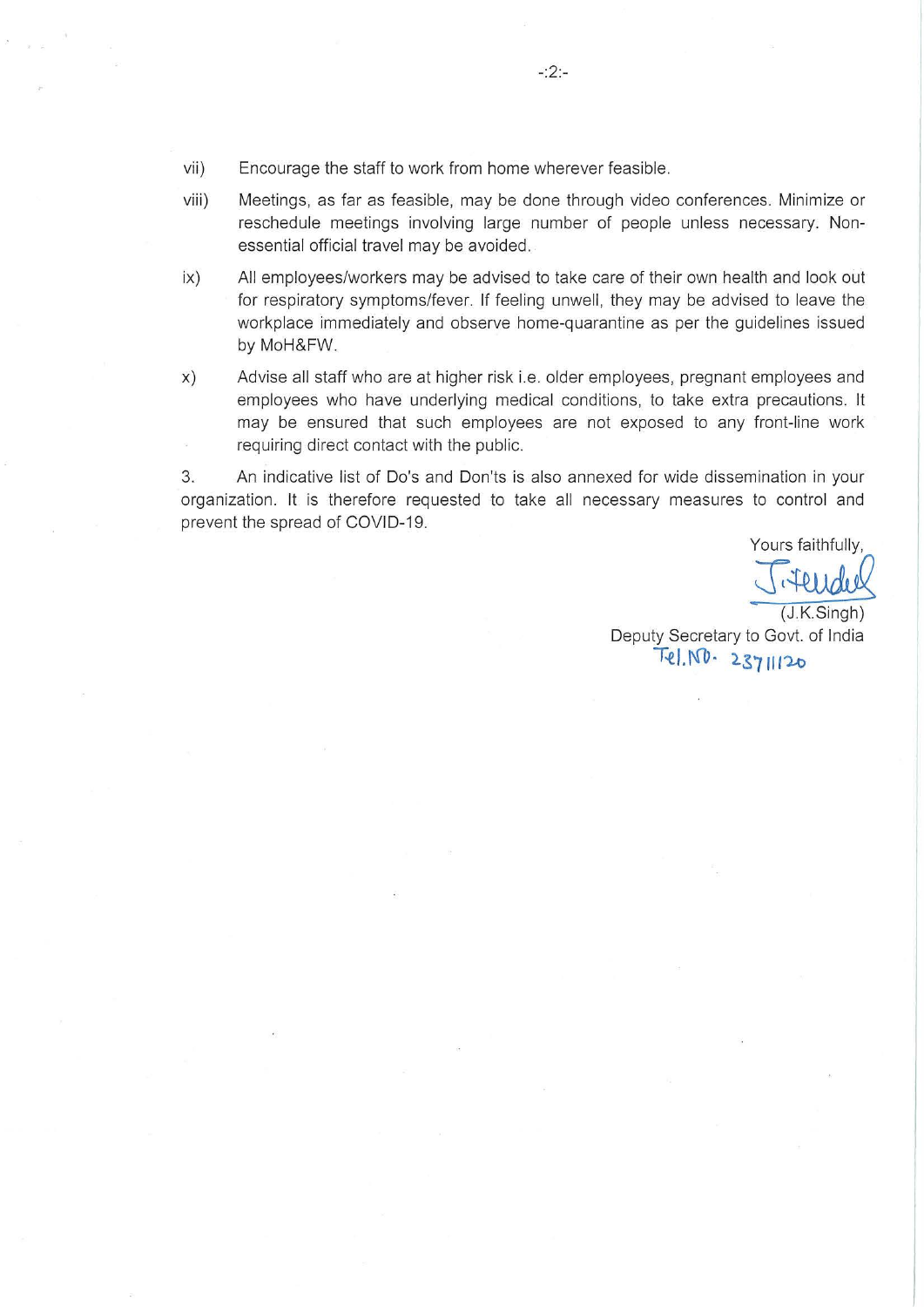- vii) Encourage the staff to work from home wherever feasible.
- viii) Meetings, as far as feasible, may be done through video conferences. Minimize or reschedule meetings involving large number of people unless necessary. Nonessential official travel may be avoided.
- ix) All employees/workers may be advised to take care of their own health and look out for respiratory symptoms/fever. If feeling unwell, they may be advised to leave the workplace immediately and observe home-quarantine as per the guidelines issued by MoH&FW.
- x) Advise all staff who are at higher risk i. e. older employees, pregnant employees and employees who have underlying medical conditions, to take extra precautions. It may be ensured that such employees are not exposed to any front-line work requiring direct contact with the public.

3. An indicative list of Do's and Don'ts is also annexed for wide dissemination in your organization. It is therefore requested to take all necessary measures to control and prevent the spread of COVID-19.

Yours faithfully,

 $(J.K.$ Singh) Deputy Secretary to Govt. of India T~ I. 1\(lJ • '-S 7 *Ill* 'l..o